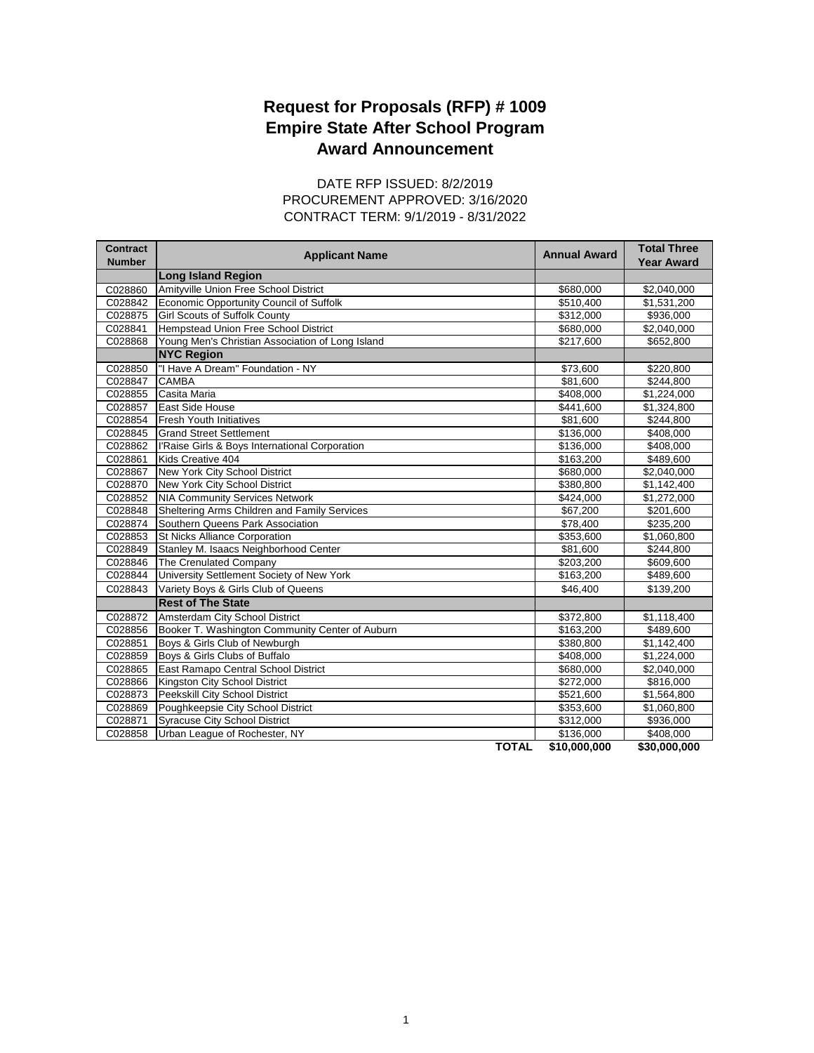## **Award Announcement Request for Proposals (RFP) # 1009 Empire State After School Program**

CONTRACT TERM: 9/1/2019 - 8/31/2022 DATE RFP ISSUED: 8/2/2019 PROCUREMENT APPROVED: 3/16/2020

| <b>Long Island Region</b><br>Amityville Union Free School District<br>C028860<br>\$680,000<br>\$2,040,000<br>Economic Opportunity Council of Suffolk<br>C028842<br>\$510,400<br>\$1,531,200<br>C028875<br><b>Girl Scouts of Suffolk County</b><br>\$312,000<br>\$936,000<br>Hempstead Union Free School District<br>C028841<br>\$680,000<br>\$2,040,000<br>C028868<br>Young Men's Christian Association of Long Island<br>\$217,600<br>\$652,800<br><b>NYC Region</b><br>"I Have A Dream" Foundation - NY<br>C028850<br>\$73,600<br>\$220,800<br><b>CAMBA</b><br>C028847<br>\$81,600<br>\$244,800<br>Casita Maria<br>C028855<br>\$408,000<br>\$1,224,000<br>East Side House<br>C028857<br>\$441,600<br>\$1,324,800<br>C028854<br><b>Fresh Youth Initiatives</b><br>\$81,600<br>\$244,800<br>C028845<br><b>Grand Street Settlement</b><br>\$136,000<br>\$408,000<br>C028862<br>l'Raise Girls & Boys International Corporation<br>\$408,000<br>\$136,000<br>Kids Creative 404<br>C028861<br>\$163.200<br>\$489,600<br>C028867<br>New York City School District<br>\$680,000<br>\$2,040,000<br>C028870<br>New York City School District<br>\$380,800<br>\$1,142,400<br>C028852<br><b>NIA Community Services Network</b><br>\$424,000<br>\$1,272,000<br>Sheltering Arms Children and Family Services<br>C028848<br>\$67,200<br>\$201,600<br>C028874<br>Southern Queens Park Association<br>\$78,400<br>\$235,200<br>C028853<br>St Nicks Alliance Corporation<br>\$353,600<br>\$1,060,800<br>Stanley M. Isaacs Neighborhood Center<br>C028849<br>\$81,600<br>\$244,800<br>C028846<br>The Crenulated Company<br>\$203,200<br>\$609,600<br>University Settlement Society of New York<br>C028844<br>\$163,200<br>\$489,600<br>Variety Boys & Girls Club of Queens<br>C028843<br>\$46.400<br>\$139,200<br><b>Rest of The State</b><br>Amsterdam City School District<br>C028872<br>\$372,800<br>\$1,118,400<br>Booker T. Washington Community Center of Auburn<br>C028856<br>\$163,200<br>\$489,600<br>Boys & Girls Club of Newburgh<br>\$1,142,400<br>C028851<br>\$380,800<br>Boys & Girls Clubs of Buffalo<br>C028859<br>\$408,000<br>\$1,224,000<br>C028865<br>East Ramapo Central School District<br>\$680,000<br>\$2,040,000<br>C028866<br>Kingston City School District<br>\$272,000<br>\$816,000<br>C028873<br>Peekskill City School District<br>\$521,600<br>\$1,564,800<br>C028869<br>Poughkeepsie City School District<br>\$353,600<br>\$1,060,800<br>C028871<br><b>Syracuse City School District</b><br>\$312,000<br>\$936,000<br>C028858<br>Urban League of Rochester, NY<br>\$136,000<br>\$408,000 | <b>Contract</b><br><b>Number</b> | <b>Applicant Name</b> | <b>Annual Award</b> | <b>Total Three</b><br><b>Year Award</b> |
|--------------------------------------------------------------------------------------------------------------------------------------------------------------------------------------------------------------------------------------------------------------------------------------------------------------------------------------------------------------------------------------------------------------------------------------------------------------------------------------------------------------------------------------------------------------------------------------------------------------------------------------------------------------------------------------------------------------------------------------------------------------------------------------------------------------------------------------------------------------------------------------------------------------------------------------------------------------------------------------------------------------------------------------------------------------------------------------------------------------------------------------------------------------------------------------------------------------------------------------------------------------------------------------------------------------------------------------------------------------------------------------------------------------------------------------------------------------------------------------------------------------------------------------------------------------------------------------------------------------------------------------------------------------------------------------------------------------------------------------------------------------------------------------------------------------------------------------------------------------------------------------------------------------------------------------------------------------------------------------------------------------------------------------------------------------------------------------------------------------------------------------------------------------------------------------------------------------------------------------------------------------------------------------------------------------------------------------------------------------------------------------------------------------------------------------------------------------------------------------------------------------------------------------------------------------------------------------------------------|----------------------------------|-----------------------|---------------------|-----------------------------------------|
|                                                                                                                                                                                                                                                                                                                                                                                                                                                                                                                                                                                                                                                                                                                                                                                                                                                                                                                                                                                                                                                                                                                                                                                                                                                                                                                                                                                                                                                                                                                                                                                                                                                                                                                                                                                                                                                                                                                                                                                                                                                                                                                                                                                                                                                                                                                                                                                                                                                                                                                                                                                                        |                                  |                       |                     |                                         |
|                                                                                                                                                                                                                                                                                                                                                                                                                                                                                                                                                                                                                                                                                                                                                                                                                                                                                                                                                                                                                                                                                                                                                                                                                                                                                                                                                                                                                                                                                                                                                                                                                                                                                                                                                                                                                                                                                                                                                                                                                                                                                                                                                                                                                                                                                                                                                                                                                                                                                                                                                                                                        |                                  |                       |                     |                                         |
|                                                                                                                                                                                                                                                                                                                                                                                                                                                                                                                                                                                                                                                                                                                                                                                                                                                                                                                                                                                                                                                                                                                                                                                                                                                                                                                                                                                                                                                                                                                                                                                                                                                                                                                                                                                                                                                                                                                                                                                                                                                                                                                                                                                                                                                                                                                                                                                                                                                                                                                                                                                                        |                                  |                       |                     |                                         |
|                                                                                                                                                                                                                                                                                                                                                                                                                                                                                                                                                                                                                                                                                                                                                                                                                                                                                                                                                                                                                                                                                                                                                                                                                                                                                                                                                                                                                                                                                                                                                                                                                                                                                                                                                                                                                                                                                                                                                                                                                                                                                                                                                                                                                                                                                                                                                                                                                                                                                                                                                                                                        |                                  |                       |                     |                                         |
|                                                                                                                                                                                                                                                                                                                                                                                                                                                                                                                                                                                                                                                                                                                                                                                                                                                                                                                                                                                                                                                                                                                                                                                                                                                                                                                                                                                                                                                                                                                                                                                                                                                                                                                                                                                                                                                                                                                                                                                                                                                                                                                                                                                                                                                                                                                                                                                                                                                                                                                                                                                                        |                                  |                       |                     |                                         |
|                                                                                                                                                                                                                                                                                                                                                                                                                                                                                                                                                                                                                                                                                                                                                                                                                                                                                                                                                                                                                                                                                                                                                                                                                                                                                                                                                                                                                                                                                                                                                                                                                                                                                                                                                                                                                                                                                                                                                                                                                                                                                                                                                                                                                                                                                                                                                                                                                                                                                                                                                                                                        |                                  |                       |                     |                                         |
|                                                                                                                                                                                                                                                                                                                                                                                                                                                                                                                                                                                                                                                                                                                                                                                                                                                                                                                                                                                                                                                                                                                                                                                                                                                                                                                                                                                                                                                                                                                                                                                                                                                                                                                                                                                                                                                                                                                                                                                                                                                                                                                                                                                                                                                                                                                                                                                                                                                                                                                                                                                                        |                                  |                       |                     |                                         |
|                                                                                                                                                                                                                                                                                                                                                                                                                                                                                                                                                                                                                                                                                                                                                                                                                                                                                                                                                                                                                                                                                                                                                                                                                                                                                                                                                                                                                                                                                                                                                                                                                                                                                                                                                                                                                                                                                                                                                                                                                                                                                                                                                                                                                                                                                                                                                                                                                                                                                                                                                                                                        |                                  |                       |                     |                                         |
|                                                                                                                                                                                                                                                                                                                                                                                                                                                                                                                                                                                                                                                                                                                                                                                                                                                                                                                                                                                                                                                                                                                                                                                                                                                                                                                                                                                                                                                                                                                                                                                                                                                                                                                                                                                                                                                                                                                                                                                                                                                                                                                                                                                                                                                                                                                                                                                                                                                                                                                                                                                                        |                                  |                       |                     |                                         |
|                                                                                                                                                                                                                                                                                                                                                                                                                                                                                                                                                                                                                                                                                                                                                                                                                                                                                                                                                                                                                                                                                                                                                                                                                                                                                                                                                                                                                                                                                                                                                                                                                                                                                                                                                                                                                                                                                                                                                                                                                                                                                                                                                                                                                                                                                                                                                                                                                                                                                                                                                                                                        |                                  |                       |                     |                                         |
|                                                                                                                                                                                                                                                                                                                                                                                                                                                                                                                                                                                                                                                                                                                                                                                                                                                                                                                                                                                                                                                                                                                                                                                                                                                                                                                                                                                                                                                                                                                                                                                                                                                                                                                                                                                                                                                                                                                                                                                                                                                                                                                                                                                                                                                                                                                                                                                                                                                                                                                                                                                                        |                                  |                       |                     |                                         |
|                                                                                                                                                                                                                                                                                                                                                                                                                                                                                                                                                                                                                                                                                                                                                                                                                                                                                                                                                                                                                                                                                                                                                                                                                                                                                                                                                                                                                                                                                                                                                                                                                                                                                                                                                                                                                                                                                                                                                                                                                                                                                                                                                                                                                                                                                                                                                                                                                                                                                                                                                                                                        |                                  |                       |                     |                                         |
|                                                                                                                                                                                                                                                                                                                                                                                                                                                                                                                                                                                                                                                                                                                                                                                                                                                                                                                                                                                                                                                                                                                                                                                                                                                                                                                                                                                                                                                                                                                                                                                                                                                                                                                                                                                                                                                                                                                                                                                                                                                                                                                                                                                                                                                                                                                                                                                                                                                                                                                                                                                                        |                                  |                       |                     |                                         |
|                                                                                                                                                                                                                                                                                                                                                                                                                                                                                                                                                                                                                                                                                                                                                                                                                                                                                                                                                                                                                                                                                                                                                                                                                                                                                                                                                                                                                                                                                                                                                                                                                                                                                                                                                                                                                                                                                                                                                                                                                                                                                                                                                                                                                                                                                                                                                                                                                                                                                                                                                                                                        |                                  |                       |                     |                                         |
|                                                                                                                                                                                                                                                                                                                                                                                                                                                                                                                                                                                                                                                                                                                                                                                                                                                                                                                                                                                                                                                                                                                                                                                                                                                                                                                                                                                                                                                                                                                                                                                                                                                                                                                                                                                                                                                                                                                                                                                                                                                                                                                                                                                                                                                                                                                                                                                                                                                                                                                                                                                                        |                                  |                       |                     |                                         |
|                                                                                                                                                                                                                                                                                                                                                                                                                                                                                                                                                                                                                                                                                                                                                                                                                                                                                                                                                                                                                                                                                                                                                                                                                                                                                                                                                                                                                                                                                                                                                                                                                                                                                                                                                                                                                                                                                                                                                                                                                                                                                                                                                                                                                                                                                                                                                                                                                                                                                                                                                                                                        |                                  |                       |                     |                                         |
|                                                                                                                                                                                                                                                                                                                                                                                                                                                                                                                                                                                                                                                                                                                                                                                                                                                                                                                                                                                                                                                                                                                                                                                                                                                                                                                                                                                                                                                                                                                                                                                                                                                                                                                                                                                                                                                                                                                                                                                                                                                                                                                                                                                                                                                                                                                                                                                                                                                                                                                                                                                                        |                                  |                       |                     |                                         |
|                                                                                                                                                                                                                                                                                                                                                                                                                                                                                                                                                                                                                                                                                                                                                                                                                                                                                                                                                                                                                                                                                                                                                                                                                                                                                                                                                                                                                                                                                                                                                                                                                                                                                                                                                                                                                                                                                                                                                                                                                                                                                                                                                                                                                                                                                                                                                                                                                                                                                                                                                                                                        |                                  |                       |                     |                                         |
|                                                                                                                                                                                                                                                                                                                                                                                                                                                                                                                                                                                                                                                                                                                                                                                                                                                                                                                                                                                                                                                                                                                                                                                                                                                                                                                                                                                                                                                                                                                                                                                                                                                                                                                                                                                                                                                                                                                                                                                                                                                                                                                                                                                                                                                                                                                                                                                                                                                                                                                                                                                                        |                                  |                       |                     |                                         |
|                                                                                                                                                                                                                                                                                                                                                                                                                                                                                                                                                                                                                                                                                                                                                                                                                                                                                                                                                                                                                                                                                                                                                                                                                                                                                                                                                                                                                                                                                                                                                                                                                                                                                                                                                                                                                                                                                                                                                                                                                                                                                                                                                                                                                                                                                                                                                                                                                                                                                                                                                                                                        |                                  |                       |                     |                                         |
|                                                                                                                                                                                                                                                                                                                                                                                                                                                                                                                                                                                                                                                                                                                                                                                                                                                                                                                                                                                                                                                                                                                                                                                                                                                                                                                                                                                                                                                                                                                                                                                                                                                                                                                                                                                                                                                                                                                                                                                                                                                                                                                                                                                                                                                                                                                                                                                                                                                                                                                                                                                                        |                                  |                       |                     |                                         |
|                                                                                                                                                                                                                                                                                                                                                                                                                                                                                                                                                                                                                                                                                                                                                                                                                                                                                                                                                                                                                                                                                                                                                                                                                                                                                                                                                                                                                                                                                                                                                                                                                                                                                                                                                                                                                                                                                                                                                                                                                                                                                                                                                                                                                                                                                                                                                                                                                                                                                                                                                                                                        |                                  |                       |                     |                                         |
|                                                                                                                                                                                                                                                                                                                                                                                                                                                                                                                                                                                                                                                                                                                                                                                                                                                                                                                                                                                                                                                                                                                                                                                                                                                                                                                                                                                                                                                                                                                                                                                                                                                                                                                                                                                                                                                                                                                                                                                                                                                                                                                                                                                                                                                                                                                                                                                                                                                                                                                                                                                                        |                                  |                       |                     |                                         |
|                                                                                                                                                                                                                                                                                                                                                                                                                                                                                                                                                                                                                                                                                                                                                                                                                                                                                                                                                                                                                                                                                                                                                                                                                                                                                                                                                                                                                                                                                                                                                                                                                                                                                                                                                                                                                                                                                                                                                                                                                                                                                                                                                                                                                                                                                                                                                                                                                                                                                                                                                                                                        |                                  |                       |                     |                                         |
|                                                                                                                                                                                                                                                                                                                                                                                                                                                                                                                                                                                                                                                                                                                                                                                                                                                                                                                                                                                                                                                                                                                                                                                                                                                                                                                                                                                                                                                                                                                                                                                                                                                                                                                                                                                                                                                                                                                                                                                                                                                                                                                                                                                                                                                                                                                                                                                                                                                                                                                                                                                                        |                                  |                       |                     |                                         |
|                                                                                                                                                                                                                                                                                                                                                                                                                                                                                                                                                                                                                                                                                                                                                                                                                                                                                                                                                                                                                                                                                                                                                                                                                                                                                                                                                                                                                                                                                                                                                                                                                                                                                                                                                                                                                                                                                                                                                                                                                                                                                                                                                                                                                                                                                                                                                                                                                                                                                                                                                                                                        |                                  |                       |                     |                                         |
|                                                                                                                                                                                                                                                                                                                                                                                                                                                                                                                                                                                                                                                                                                                                                                                                                                                                                                                                                                                                                                                                                                                                                                                                                                                                                                                                                                                                                                                                                                                                                                                                                                                                                                                                                                                                                                                                                                                                                                                                                                                                                                                                                                                                                                                                                                                                                                                                                                                                                                                                                                                                        |                                  |                       |                     |                                         |
|                                                                                                                                                                                                                                                                                                                                                                                                                                                                                                                                                                                                                                                                                                                                                                                                                                                                                                                                                                                                                                                                                                                                                                                                                                                                                                                                                                                                                                                                                                                                                                                                                                                                                                                                                                                                                                                                                                                                                                                                                                                                                                                                                                                                                                                                                                                                                                                                                                                                                                                                                                                                        |                                  |                       |                     |                                         |
|                                                                                                                                                                                                                                                                                                                                                                                                                                                                                                                                                                                                                                                                                                                                                                                                                                                                                                                                                                                                                                                                                                                                                                                                                                                                                                                                                                                                                                                                                                                                                                                                                                                                                                                                                                                                                                                                                                                                                                                                                                                                                                                                                                                                                                                                                                                                                                                                                                                                                                                                                                                                        |                                  |                       |                     |                                         |
|                                                                                                                                                                                                                                                                                                                                                                                                                                                                                                                                                                                                                                                                                                                                                                                                                                                                                                                                                                                                                                                                                                                                                                                                                                                                                                                                                                                                                                                                                                                                                                                                                                                                                                                                                                                                                                                                                                                                                                                                                                                                                                                                                                                                                                                                                                                                                                                                                                                                                                                                                                                                        |                                  |                       |                     |                                         |
|                                                                                                                                                                                                                                                                                                                                                                                                                                                                                                                                                                                                                                                                                                                                                                                                                                                                                                                                                                                                                                                                                                                                                                                                                                                                                                                                                                                                                                                                                                                                                                                                                                                                                                                                                                                                                                                                                                                                                                                                                                                                                                                                                                                                                                                                                                                                                                                                                                                                                                                                                                                                        |                                  |                       |                     |                                         |
|                                                                                                                                                                                                                                                                                                                                                                                                                                                                                                                                                                                                                                                                                                                                                                                                                                                                                                                                                                                                                                                                                                                                                                                                                                                                                                                                                                                                                                                                                                                                                                                                                                                                                                                                                                                                                                                                                                                                                                                                                                                                                                                                                                                                                                                                                                                                                                                                                                                                                                                                                                                                        |                                  |                       |                     |                                         |
|                                                                                                                                                                                                                                                                                                                                                                                                                                                                                                                                                                                                                                                                                                                                                                                                                                                                                                                                                                                                                                                                                                                                                                                                                                                                                                                                                                                                                                                                                                                                                                                                                                                                                                                                                                                                                                                                                                                                                                                                                                                                                                                                                                                                                                                                                                                                                                                                                                                                                                                                                                                                        |                                  |                       |                     |                                         |
|                                                                                                                                                                                                                                                                                                                                                                                                                                                                                                                                                                                                                                                                                                                                                                                                                                                                                                                                                                                                                                                                                                                                                                                                                                                                                                                                                                                                                                                                                                                                                                                                                                                                                                                                                                                                                                                                                                                                                                                                                                                                                                                                                                                                                                                                                                                                                                                                                                                                                                                                                                                                        |                                  |                       |                     |                                         |
|                                                                                                                                                                                                                                                                                                                                                                                                                                                                                                                                                                                                                                                                                                                                                                                                                                                                                                                                                                                                                                                                                                                                                                                                                                                                                                                                                                                                                                                                                                                                                                                                                                                                                                                                                                                                                                                                                                                                                                                                                                                                                                                                                                                                                                                                                                                                                                                                                                                                                                                                                                                                        |                                  |                       |                     |                                         |
|                                                                                                                                                                                                                                                                                                                                                                                                                                                                                                                                                                                                                                                                                                                                                                                                                                                                                                                                                                                                                                                                                                                                                                                                                                                                                                                                                                                                                                                                                                                                                                                                                                                                                                                                                                                                                                                                                                                                                                                                                                                                                                                                                                                                                                                                                                                                                                                                                                                                                                                                                                                                        |                                  |                       |                     |                                         |

**TOTAL \$10,000,000 \$30,000,000**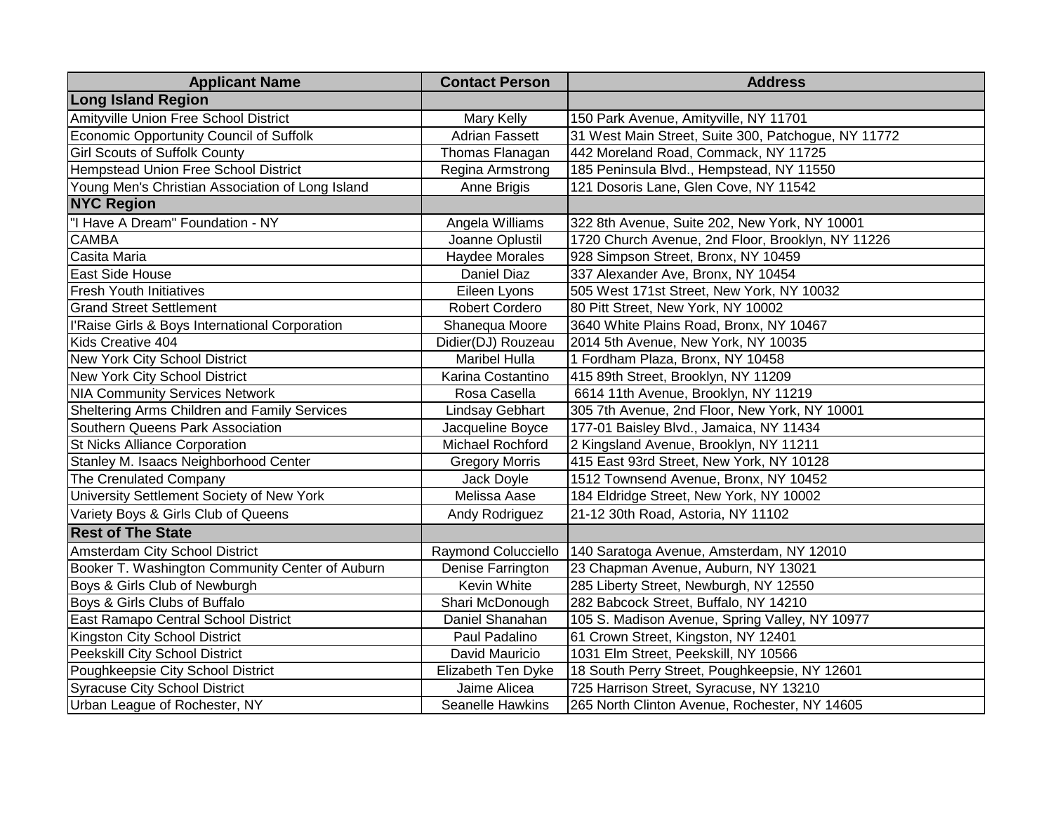| <b>Applicant Name</b>                            | <b>Contact Person</b>  | <b>Address</b>                                      |
|--------------------------------------------------|------------------------|-----------------------------------------------------|
| <b>Long Island Region</b>                        |                        |                                                     |
| Amityville Union Free School District            | <b>Mary Kelly</b>      | 150 Park Avenue, Amityville, NY 11701               |
| Economic Opportunity Council of Suffolk          | Adrian Fassett         | 31 West Main Street, Suite 300, Patchogue, NY 11772 |
| <b>Girl Scouts of Suffolk County</b>             | Thomas Flanagan        | 442 Moreland Road, Commack, NY 11725                |
| Hempstead Union Free School District             | Regina Armstrong       | 185 Peninsula Blvd., Hempstead, NY 11550            |
| Young Men's Christian Association of Long Island | Anne Brigis            | 121 Dosoris Lane, Glen Cove, NY 11542               |
| <b>NYC Region</b>                                |                        |                                                     |
| "I Have A Dream" Foundation - NY                 | Angela Williams        | 322 8th Avenue, Suite 202, New York, NY 10001       |
| <b>CAMBA</b>                                     | Joanne Oplustil        | 1720 Church Avenue, 2nd Floor, Brooklyn, NY 11226   |
| Casita Maria                                     | <b>Haydee Morales</b>  | 928 Simpson Street, Bronx, NY 10459                 |
| East Side House                                  | Daniel Diaz            | 337 Alexander Ave, Bronx, NY 10454                  |
| <b>Fresh Youth Initiatives</b>                   | Eileen Lyons           | 505 West 171st Street, New York, NY 10032           |
| <b>Grand Street Settlement</b>                   | <b>Robert Cordero</b>  | 80 Pitt Street, New York, NY 10002                  |
| l'Raise Girls & Boys International Corporation   | Shanequa Moore         | 3640 White Plains Road, Bronx, NY 10467             |
| Kids Creative 404                                | Didier(DJ) Rouzeau     | 2014 5th Avenue, New York, NY 10035                 |
| New York City School District                    | <b>Maribel Hulla</b>   | 1 Fordham Plaza, Bronx, NY 10458                    |
| New York City School District                    | Karina Costantino      | 415 89th Street, Brooklyn, NY 11209                 |
| <b>NIA Community Services Network</b>            | Rosa Casella           | 6614 11th Avenue, Brooklyn, NY 11219                |
| Sheltering Arms Children and Family Services     | <b>Lindsay Gebhart</b> | 305 7th Avenue, 2nd Floor, New York, NY 10001       |
| Southern Queens Park Association                 | Jacqueline Boyce       | 177-01 Baisley Blvd., Jamaica, NY 11434             |
| <b>St Nicks Alliance Corporation</b>             | Michael Rochford       | 2 Kingsland Avenue, Brooklyn, NY 11211              |
| Stanley M. Isaacs Neighborhood Center            | <b>Gregory Morris</b>  | 415 East 93rd Street, New York, NY 10128            |
| The Crenulated Company                           | Jack Doyle             | 1512 Townsend Avenue, Bronx, NY 10452               |
| University Settlement Society of New York        | Melissa Aase           | 184 Eldridge Street, New York, NY 10002             |
| Variety Boys & Girls Club of Queens              | Andy Rodriguez         | 21-12 30th Road, Astoria, NY 11102                  |
| <b>Rest of The State</b>                         |                        |                                                     |
| Amsterdam City School District                   | Raymond Colucciello    | 140 Saratoga Avenue, Amsterdam, NY 12010            |
| Booker T. Washington Community Center of Auburn  | Denise Farrington      | 23 Chapman Avenue, Auburn, NY 13021                 |
| Boys & Girls Club of Newburgh                    | Kevin White            | 285 Liberty Street, Newburgh, NY 12550              |
| Boys & Girls Clubs of Buffalo                    | Shari McDonough        | 282 Babcock Street, Buffalo, NY 14210               |
| East Ramapo Central School District              | Daniel Shanahan        | 105 S. Madison Avenue, Spring Valley, NY 10977      |
| Kingston City School District                    | Paul Padalino          | 61 Crown Street, Kingston, NY 12401                 |
| Peekskill City School District                   | David Mauricio         | 1031 Elm Street, Peekskill, NY 10566                |
| Poughkeepsie City School District                | Elizabeth Ten Dyke     | 18 South Perry Street, Poughkeepsie, NY 12601       |
| <b>Syracuse City School District</b>             | Jaime Alicea           | 725 Harrison Street, Syracuse, NY 13210             |
| Urban League of Rochester, NY                    | Seanelle Hawkins       | 265 North Clinton Avenue, Rochester, NY 14605       |